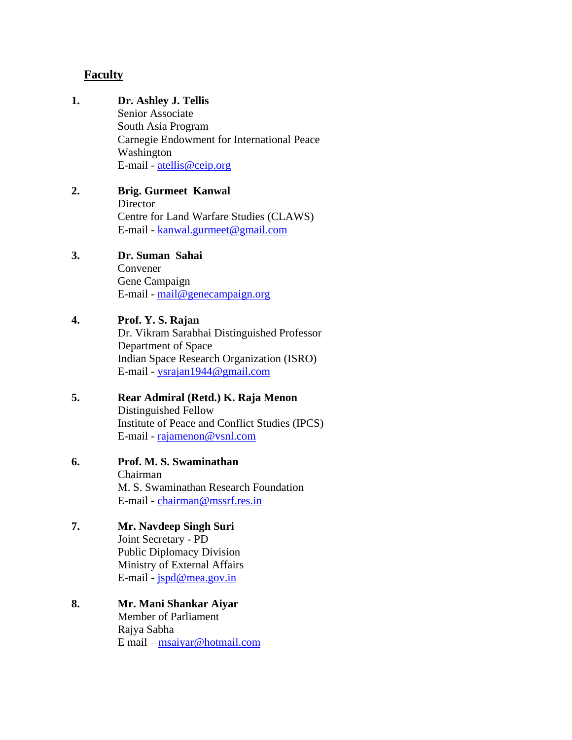#### **Faculty**

# **1. Dr. Ashley J. Tellis** Senior Associate South Asia Program Carnegie Endowment for International Peace Washington E-mail - [atellis@ceip.org](mailto:atellis@ceip.org) **2. Brig. Gurmeet Kanwal Director** Centre for Land Warfare Studies (CLAWS) E-mail - [kanwal.gurmeet@gmail.com](mailto:kanwal.gurmeet@gmail.com) **3. Dr. Suman Sahai** Convener Gene Campaign E-mail - [mail@genecampaign.org](mailto:mail@genecampaign.org) **4. Prof. Y. S. Rajan** Dr. Vikram Sarabhai Distinguished Professor Department of Space Indian Space Research Organization (ISRO) E-mail - [ysrajan1944@gmail.com](mailto:ysrajan1944@gmail.com) **5. Rear Admiral (Retd.) K. Raja Menon** Distinguished Fellow Institute of Peace and Conflict Studies (IPCS) E-mail - [rajamenon@vsnl.com](mailto:rajamenon@vsnl.com) **6. Prof. M. S. Swaminathan** Chairman M. S. Swaminathan Research Foundation E-mail - [chairman@mssrf.res.in](mailto:chairman@mssrf.res.in) **7. Mr. Navdeep Singh Suri** Joint Secretary - PD Public Diplomacy Division Ministry of External Affairs E-mail - [jspd@mea.gov.in](mailto:jspd@mea.gov.in) **8. Mr. Mani Shankar Aiyar** Member of Parliament Rajya Sabha E mail – [msaiyar@hotmail.com](mailto:msaiyar@hotmail.com)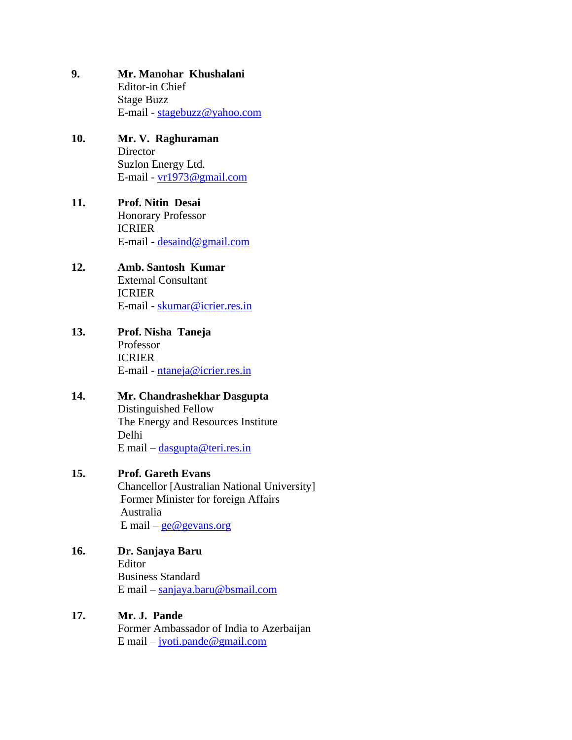- **9. Mr. Manohar Khushalani** Editor-in Chief Stage Buzz E-mail - [stagebuzz@yahoo.com](mailto:stagebuzz@yahoo.com)
- **10. Mr. V. Raghuraman Director** Suzlon Energy Ltd. E-mail - [vr1973@gmail.com](mailto:vr1973@gmail.com)
- **11. Prof. Nitin Desai** Honorary Professor ICRIER E-mail - [desaind@gmail.com](mailto:desaind@gmail.com)
- **12. Amb. Santosh Kumar** External Consultant ICRIER E-mail - [skumar@icrier.res.in](mailto:skumar@icrier.res.in)
- **13. Prof. Nisha Taneja** Professor ICRIER E-mail - [ntaneja@icrier.res.in](mailto:ntaneja@icrier.res.in)
- **14. Mr. Chandrashekhar Dasgupta** Distinguished Fellow The Energy and Resources Institute Delhi E mail – [dasgupta@teri.res.in](mailto:dasgupta@teri.res.in)

#### **15. Prof. Gareth Evans**

Chancellor [Australian National University] Former Minister for foreign Affairs Australia E mail –  $ge@gevans.org$ 

**16. Dr. Sanjaya Baru**

 Editor Business Standard E mail – [sanjaya.baru@bsmail.com](mailto:sanjaya.baru@bsmail.com)

**17. Mr. J. Pande** Former Ambassador of India to Azerbaijan E mail – [jyoti.pande@gmail.com](mailto:jyoti.pande@gmail.com)